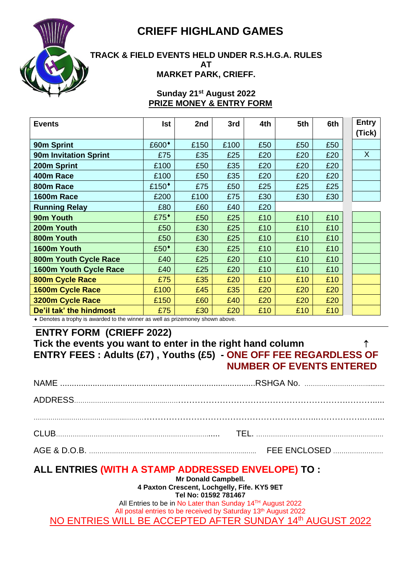



#### **TRACK & FIELD EVENTS HELD UNDER R.S.H.G.A. RULES AT MARKET PARK, CRIEFF.**

#### **Sunday 21st August 2022 PRIZE MONEY & ENTRY FORM**

| <b>Events</b>                 | Ist               | 2nd  | 3rd  | 4th | 5th | 6th | <b>Entry</b><br>(Tick) |
|-------------------------------|-------------------|------|------|-----|-----|-----|------------------------|
| 90m Sprint                    | £600*             | £150 | £100 | £50 | £50 | £50 |                        |
| <b>90m Invitation Sprint</b>  | £75               | £35  | £25  | £20 | £20 | £20 | $\sf X$                |
| 200m Sprint                   | £100              | £50  | £35  | £20 | £20 | £20 |                        |
| 400m Race                     | £100              | £50  | £35  | £20 | £20 | £20 |                        |
| 800m Race                     | £150 <sup>*</sup> | £75  | £50  | £25 | £25 | £25 |                        |
| 1600m Race                    | £200              | £100 | £75  | £30 | £30 | £30 |                        |
| <b>Running Relay</b>          | £80               | £60  | £40  | £20 |     |     |                        |
| 90m Youth                     | £75 <sup>*</sup>  | £50  | £25  | £10 | £10 | £10 |                        |
| 200m Youth                    | £50               | £30  | £25  | £10 | £10 | £10 |                        |
| 800m Youth                    | £50               | £30  | £25  | £10 | £10 | £10 |                        |
| 1600m Youth                   | £50 <sup>*</sup>  | £30  | £25  | £10 | £10 | £10 |                        |
| 800m Youth Cycle Race         | £40               | £25  | £20  | £10 | £10 | £10 |                        |
| <b>1600m Youth Cycle Race</b> | £40               | £25  | £20  | £10 | £10 | £10 |                        |
| 800m Cycle Race               | £75               | £35  | £20  | £10 | £10 | £10 |                        |
| 1600m Cycle Race              | £100              | £45  | £35  | £20 | £20 | £20 |                        |
| 3200m Cycle Race              | £150              | £60  | £40  | £20 | £20 | £20 |                        |
| De'il tak' the hindmost       | £75               | £30  | £20  | £10 | £10 | £10 |                        |

Denotes a trophy is awarded to the winner as well as prizemoney shown above.

## **ENTRY FORM (CRIEFF 2022)**

### **Tick the events you want to enter in the right hand column ENTRY FEES : Adults (£7) , Youths (£5) - ONE OFF FEE REGARDLESS OF NUMBER OF EVENTS ENTERED**

| <b>FEE ENCLOSED</b> |
|---------------------|

### **ALL ENTRIES (WITH A STAMP ADDRESSED ENVELOPE) TO :**

**Mr Donald Campbell. 4 Paxton Crescent, Lochgelly, Fife. KY5 9ET**

**Tel No: 01592 781467**

All Entries to be in No Later than Sunday 14TH August 2022

All postal entries to be received by Saturday 13<sup>th</sup> August 2022

NO ENTRIES WILL BE ACCEPTED AFTER SUNDAY 14th AUGUST 2022